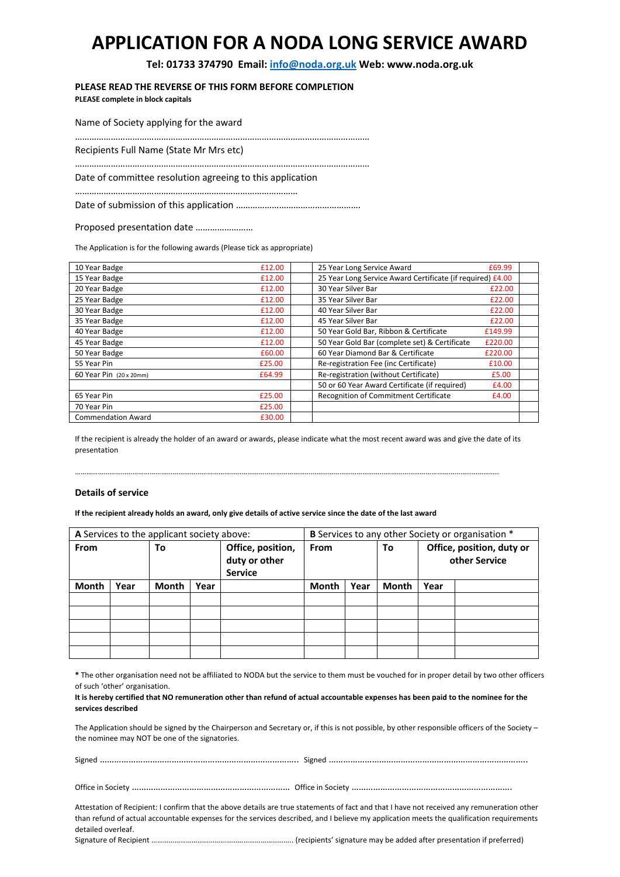# **APPLICATION FOR A NODA LONG SERVICE AWARD**

**Tel: 01733 374790 Email: info@noda.org.uk Web: www.noda.org.uk** 

**PLEASE READ THE REVERSE OF THIS FORM BEFORE COMPLETION**

**PLEASE complete in block capitals** 

Name of Society applying for the award

………………………………………………………………………………………………………………………………………..

…………………………………………………………………………………………………………………………………………

Recipients Full Name (State Mr Mrs etc)

Date of committee resolution agreeing to this application

……………………………………………………………………………………………………………..

Date of submission of this application …………………………………………….

Proposed presentation date ……………………………………….........

The Application is for the following awards (Please tick as appropriate)

| 10 Year Badge             | £12.00 | 25 Year Long Service Award<br>£69.99                       |
|---------------------------|--------|------------------------------------------------------------|
| 15 Year Badge             | £12.00 | 25 Year Long Service Award Certificate (if required) £4.00 |
| 20 Year Badge             | £12.00 | 30 Year Silver Bar<br>£22.00                               |
| 25 Year Badge             | £12.00 | 35 Year Silver Bar<br>£22.00                               |
| 30 Year Badge             | £12.00 | 40 Year Silver Bar<br>£22.00                               |
| 35 Year Badge             | £12.00 | 45 Year Silver Bar<br>£22.00                               |
| 40 Year Badge             | £12.00 | 50 Year Gold Bar, Ribbon & Certificate<br>£149.99          |
| 45 Year Badge             | £12.00 | 50 Year Gold Bar (complete set) & Certificate<br>£220.00   |
| 50 Year Badge             | £60.00 | 60 Year Diamond Bar & Certificate<br>£220.00               |
| 55 Year Pin               | £25.00 | Re-registration Fee (inc Certificate)<br>£10.00            |
| 60 Year Pin (20 x 20mm)   | £64.99 | Re-registration (without Certificate)<br>£5.00             |
|                           |        | 50 or 60 Year Award Certificate (if required)<br>£4.00     |
| 65 Year Pin               | £25.00 | Recognition of Commitment Certificate<br>£4.00             |
| 70 Year Pin               | £25.00 |                                                            |
| <b>Commendation Award</b> | £30.00 |                                                            |

If the recipient is already the holder of an award or awards, please indicate what the most recent award was and give the date of its presentation

…………………………………………………………………………………………………………………………………………………………………………………………………..

#### **Details of service**

**If the recipient already holds an award, only give details of active service since the date of the last award** 

| A Services to the applicant society above: |      |       | <b>B</b> Services to any other Society or organisation * |                                                      |              |      |              |      |                                            |
|--------------------------------------------|------|-------|----------------------------------------------------------|------------------------------------------------------|--------------|------|--------------|------|--------------------------------------------|
| <b>From</b>                                |      | To    |                                                          | Office, position,<br>duty or other<br><b>Service</b> | <b>From</b>  |      | To           |      | Office, position, duty or<br>other Service |
| Month                                      | Year | Month | Year                                                     |                                                      | <b>Month</b> | Year | <b>Month</b> | Year |                                            |
|                                            |      |       |                                                          |                                                      |              |      |              |      |                                            |
|                                            |      |       |                                                          |                                                      |              |      |              |      |                                            |
|                                            |      |       |                                                          |                                                      |              |      |              |      |                                            |
|                                            |      |       |                                                          |                                                      |              |      |              |      |                                            |
|                                            |      |       |                                                          |                                                      |              |      |              |      |                                            |

**\*** The other organisation need not be affiliated to NODA but the service to them must be vouched for in proper detail by two other officers of such 'other' organisation.

#### **It is hereby certified that NO remuneration other than refund of actual accountable expenses has been paid to the nominee for the services described**

The Application should be signed by the Chairperson and Secretary or, if this is not possible, by other responsible officers of the Society – the nominee may NOT be one of the signatories.

Signed ……………………………………………………………………….. Signed ………………………………………………………………………..

Office in Society ………………………………………………………… Office in Society ………………………………………………………….

Attestation of Recipient: I confirm that the above details are true statements of fact and that I have not received any remuneration other than refund of actual accountable expenses for the services described, and I believe my application meets the qualification requirements detailed overleaf.

Signature of Recipient ……………………………………………………………….. (recipients' signature may be added after presentation if preferred)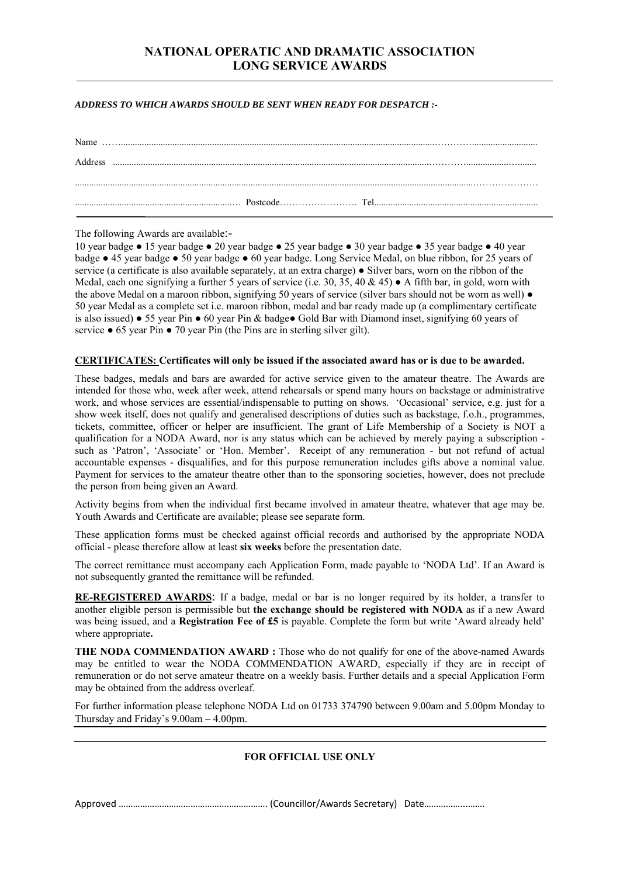## **NATIONAL OPERATIC AND DRAMATIC ASSOCIATION LONG SERVICE AWARDS**

#### *ADDRESS TO WHICH AWARDS SHOULD BE SENT WHEN READY FOR DESPATCH :-*

| Address |  |  |
|---------|--|--|
|         |  |  |
|         |  |  |

The following Awards are available:-

10 year badge ● 15 year badge ● 20 year badge ● 25 year badge ● 30 year badge ● 35 year badge ● 40 year badge ● 45 year badge ● 50 year badge ● 60 year badge. Long Service Medal, on blue ribbon, for 25 years of service (a certificate is also available separately, at an extra charge) ● Silver bars, worn on the ribbon of the Medal, each one signifying a further 5 years of service (i.e. 30, 35, 40 & 45)  $\bullet$  A fifth bar, in gold, worn with the above Medal on a maroon ribbon, signifying 50 years of service (silver bars should not be worn as well)  $\bullet$ 50 year Medal as a complete set i.e. maroon ribbon, medal and bar ready made up (a complimentary certificate is also issued) ● 55 year Pin ● 60 year Pin & badge● Gold Bar with Diamond inset, signifying 60 years of service  $\bullet$  65 year Pin  $\bullet$  70 year Pin (the Pins are in sterling silver gilt).

#### **CERTIFICATES: Certificates will only be issued if the associated award has or is due to be awarded.**

These badges, medals and bars are awarded for active service given to the amateur theatre. The Awards are intended for those who, week after week, attend rehearsals or spend many hours on backstage or administrative work, and whose services are essential/indispensable to putting on shows. 'Occasional' service, e.g. just for a show week itself, does not qualify and generalised descriptions of duties such as backstage, f.o.h., programmes, tickets, committee, officer or helper are insufficient. The grant of Life Membership of a Society is NOT a qualification for a NODA Award, nor is any status which can be achieved by merely paying a subscription such as 'Patron', 'Associate' or 'Hon. Member'. Receipt of any remuneration - but not refund of actual accountable expenses - disqualifies, and for this purpose remuneration includes gifts above a nominal value. Payment for services to the amateur theatre other than to the sponsoring societies, however, does not preclude the person from being given an Award.

Activity begins from when the individual first became involved in amateur theatre, whatever that age may be. Youth Awards and Certificate are available; please see separate form.

These application forms must be checked against official records and authorised by the appropriate NODA official - please therefore allow at least **six weeks** before the presentation date.

The correct remittance must accompany each Application Form, made payable to 'NODA Ltd'. If an Award is not subsequently granted the remittance will be refunded.

**RE-REGISTERED AWARDS**: If a badge, medal or bar is no longer required by its holder, a transfer to another eligible person is permissible but **the exchange should be registered with NODA** as if a new Award was being issued, and a **Registration Fee of £5** is payable. Complete the form but write 'Award already held' where appropriate**.** 

**THE NODA COMMENDATION AWARD :** Those who do not qualify for one of the above-named Awards may be entitled to wear the NODA COMMENDATION AWARD, especially if they are in receipt of remuneration or do not serve amateur theatre on a weekly basis. Further details and a special Application Form may be obtained from the address overleaf.

For further information please telephone NODA Ltd on 01733 374790 between 9.00am and 5.00pm Monday to Thursday and Friday's 9.00am – 4.00pm.

### **FOR OFFICIAL USE ONLY**

Approved ……………………………………….……………. (Councillor/Awards Secretary) Date……………...…….